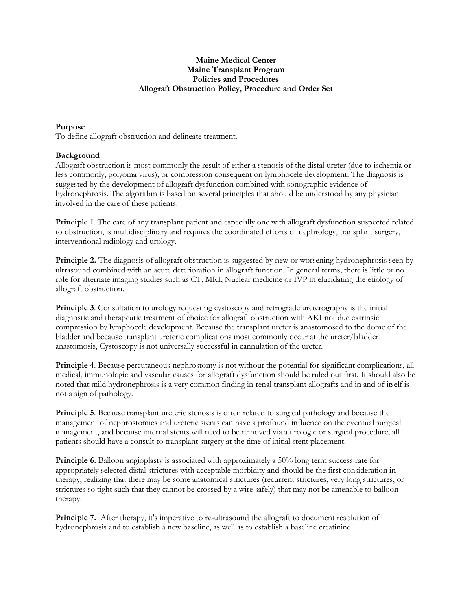## **Maine Medical Center Maine Transplant Program Policies and Procedures Allograft Obstruction Policy, Procedure and Order Set**

# **Purpose**

To define allograft obstruction and delineate treatment.

#### **Background**

Allograft obstruction is most commonly the result of either a stenosis of the distal ureter (due to ischemia or less commonly, polyoma virus), or compression consequent on lymphocele development. The diagnosis is suggested by the development of allograft dysfunction combined with sonographic evidence of hydronephrosis. The algorithm is based on several principles that should be understood by any physician involved in the care of these patients.

**Principle 1**. The care of any transplant patient and especially one with allograft dysfunction suspected related to obstruction, is multidisciplinary and requires the coordinated efforts of nephrology, transplant surgery, interventional radiology and urology.

**Principle 2.** The diagnosis of allograft obstruction is suggested by new or worsening hydronephrosis seen by ultrasound combined with an acute deterioration in allograft function. In general terms, there is little or no role for alternate imaging studies such as CT, MRI, Nuclear medicine or IVP in elucidating the etiology of allograft obstruction.

**Principle 3**. Consultation to urology requesting cystoscopy and retrograde ureterography is the initial diagnostic and therapeutic treatment of choice for allograft obstruction with AKI not due extrinsic compression by lymphocele development. Because the transplant ureter is anastomosed to the dome of the bladder and because transplant ureteric complications most commonly occur at the ureter/bladder anastomosis, Cystoscopy is not universally successful in cannulation of the ureter.

**Principle 4**. Because percutaneous nephrostomy is not without the potential for significant complications, all medical, immunologic and vascular causes for allograft dysfunction should be ruled out first. It should also be noted that mild hydronephrosis is a very common finding in renal transplant allografts and in and of itself is not a sign of pathology.

**Principle 5**. Because transplant ureteric stenosis is often related to surgical pathology and because the management of nephrostomies and ureteric stents can have a profound influence on the eventual surgical management, and because internal stents will need to be removed via a urologic or surgical procedure, all patients should have a consult to transplant surgery at the time of initial stent placement.

**Principle 6.** Balloon angioplasty is associated with approximately a 50% long term success rate for appropriately selected distal strictures with acceptable morbidity and should be the first consideration in therapy, realizing that there may be some anatomical strictures (recurrent strictures, very long strictures, or strictures so tight such that they cannot be crossed by a wire safely) that may not be amenable to balloon therapy.

**Principle 7.** After therapy, it's imperative to re-ultrasound the allograft to document resolution of hydronephrosis and to establish a new baseline, as well as to establish a baseline creatinine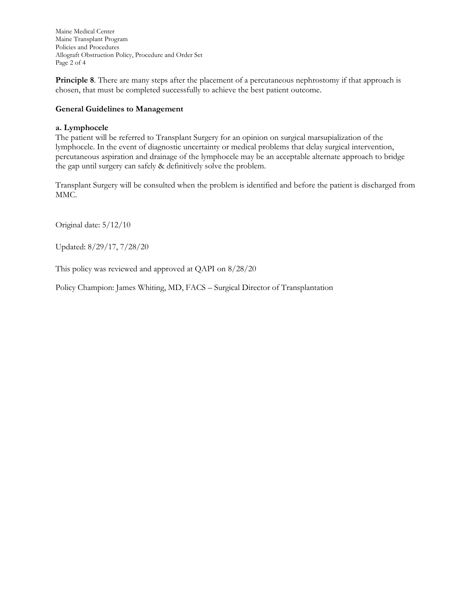Maine Medical Center Maine Transplant Program Policies and Procedures Allograft Obstruction Policy, Procedure and Order Set Page 2 of 4

**Principle 8**. There are many steps after the placement of a percutaneous nephrostomy if that approach is chosen, that must be completed successfully to achieve the best patient outcome.

## **General Guidelines to Management**

## **a. Lymphocele**

The patient will be referred to Transplant Surgery for an opinion on surgical marsupialization of the lymphocele. In the event of diagnostic uncertainty or medical problems that delay surgical intervention, percutaneous aspiration and drainage of the lymphocele may be an acceptable alternate approach to bridge the gap until surgery can safely & definitively solve the problem.

Transplant Surgery will be consulted when the problem is identified and before the patient is discharged from MMC.

Original date: 5/12/10

Updated: 8/29/17, 7/28/20

This policy was reviewed and approved at QAPI on 8/28/20

Policy Champion: James Whiting, MD, FACS – Surgical Director of Transplantation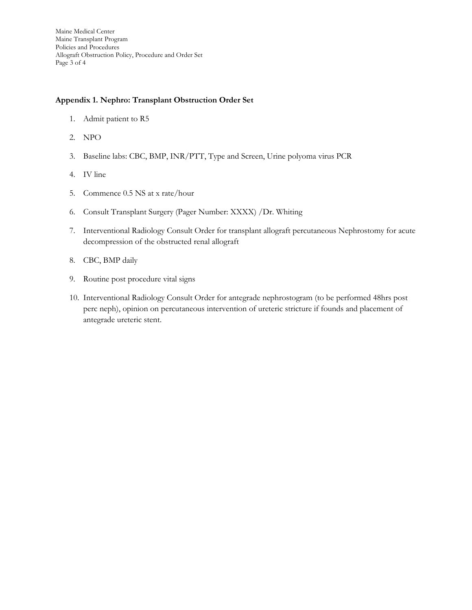## **Appendix 1. Nephro: Transplant Obstruction Order Set**

- 1. Admit patient to R5
- 2. NPO
- 3. Baseline labs: CBC, BMP, INR/PTT, Type and Screen, Urine polyoma virus PCR
- 4. IV line
- 5. Commence 0.5 NS at x rate/hour
- 6. Consult Transplant Surgery (Pager Number: XXXX) /Dr. Whiting
- 7. Interventional Radiology Consult Order for transplant allograft percutaneous Nephrostomy for acute decompression of the obstructed renal allograft
- 8. CBC, BMP daily
- 9. Routine post procedure vital signs
- 10. Interventional Radiology Consult Order for antegrade nephrostogram (to be performed 48hrs post perc neph), opinion on percutaneous intervention of ureteric stricture if founds and placement of antegrade ureteric stent.